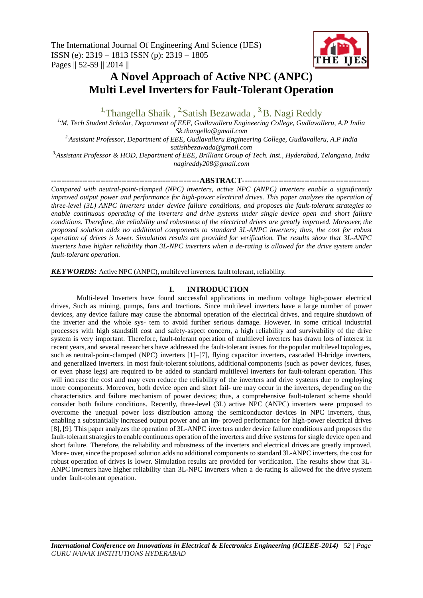

# **A Novel Approach of Active NPC (ANPC) Multi Level Inverters for Fault-Tolerant Operation**

<sup>1,</sup>Thangella Shaik, <sup>2</sup>Satish Bezawada, <sup>3,</sup>B. Nagi Reddy

*1,M. Tech Student Scholar, Department of EEE, Gudlavalleru Engineering College, Gudlavalleru, A.P India Sk.thangella@gmail.com 2,Assistant Professor, Department of EEE, Gudlavalleru Engineering College, Gudlavalleru, A.P India*

*satishbezawada@gmail.com*

*3,Assistant Professor & HOD, Department of EEE, Brilliant Group of Tech. Inst., Hyderabad, Telangana, India nagireddy208@gmail.com*

**---------------------------------------------------------ABSTRACT-------------------------------------------------**

*Compared with neutral-point-clamped (NPC) inverters, active NPC (ANPC) inverters enable a significantly improved output power and performance for high-power electrical drives. This paper analyzes the operation of three-level (3L) ANPC inverters under device failure conditions, and proposes the fault-tolerant strategies to enable continuous operating of the inverters and drive systems under single device open and short failure conditions. Therefore, the reliability and robustness of the electrical drives are greatly improved. Moreover, the proposed solution adds no additional components to standard 3L-ANPC inverters; thus, the cost for robust operation of drives is lower. Simulation results are provided for verification. The results show that 3L-ANPC inverters have higher reliability than 3L-NPC inverters when a de-rating is allowed for the drive system under fault-tolerant operation.*

*KEYWORDS:* Active NPC (ANPC), multilevel inverters, fault tolerant, reliability.

# **I. INTRODUCTION**

Multi-level Inverters have found successful applications in medium voltage high-power electrical drives, Such as mining, pumps, fans and tractions. Since multilevel inverters have a large number of power devices, any device failure may cause the abnormal operation of the electrical drives, and require shutdown of the inverter and the whole sys- tem to avoid further serious damage. However, in some critical industrial processes with high standstill cost and safety-aspect concern, a high reliability and survivability of the drive system is very important. Therefore, fault-tolerant operation of multilevel inverters has drawn lots of interest in recent years, and several researchers have addressed the fault-tolerant issues for the popular multilevel topologies, such as neutral-point-clamped (NPC) inverters [1]–[7], flying capacitor inverters, cascaded H-bridge inverters, and generalized inverters. In most fault-tolerant solutions, additional components (such as power devices, fuses, or even phase legs) are required to be added to standard multilevel inverters for fault-tolerant operation. This will increase the cost and may even reduce the reliability of the inverters and drive systems due to employing more components. Moreover, both device open and short fail- ure may occur in the inverters, depending on the characteristics and failure mechanism of power devices; thus, a comprehensive fault-tolerant scheme should consider both failure conditions. Recently, three-level (3L) active NPC (ANPC) inverters were proposed to overcome the unequal power loss distribution among the semiconductor devices in NPC inverters, thus, enabling a substantially increased output power and an im- proved performance for high-power electrical drives [8], [9]. This paper analyzes the operation of 3L-ANPC inverters under device failure conditions and proposes the fault-tolerant strategies to enable continuous operation of the inverters and drive systems for single device open and short failure. Therefore, the reliability and robustness of the inverters and electrical drives are greatly improved. More- over, since the proposed solution adds no additional components to standard 3L-ANPC inverters, the cost for robust operation of drives is lower. Simulation results are provided for verification. The results show that 3L-ANPC inverters have higher reliability than 3L-NPC inverters when a de-rating is allowed for the drive system under fault-tolerant operation.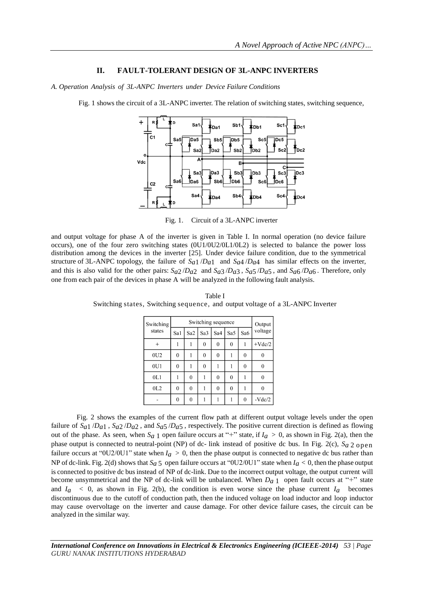### **II. FAULT-TOLERANT DESIGN OF 3L-ANPC INVERTERS**

*A. Operation Analysis of 3L-ANPC Inverters under Device Failure Conditions*

Fig. 1 shows the circuit of a 3L-ANPC inverter. The relation of switching states, switching sequence,



Fig. 1. Circuit of a 3L-ANPC inverter

and output voltage for phase A of the inverter is given in Table I. In normal operation (no device failure occurs), one of the four zero switching states (0U1/0U2/0L1/0L2) is selected to balance the power loss distribution among the devices in the inverter [25]. Under device failure condition, due to the symmetrical structure of 3L-ANPC topology, the failure of  $S_{a1}/D_{a1}$  and  $S_{a4}/D_{a4}$  has similar effects on the inverter, and this is also valid for the other pairs: *Sa*2 /*Da*2 and *Sa*3 /*Da*3 , *Sa*5 /*Da*5 , and *Sa*6 /*Da*6 . Therefore, only one from each pair of the devices in phase A will be analyzed in the following fault analysis.

| Switching<br>states |              | Output          |                 |          |          |          |          |
|---------------------|--------------|-----------------|-----------------|----------|----------|----------|----------|
|                     | Sa1          | Sa <sub>2</sub> | Sa <sub>3</sub> | Sa4      | Sa5      | Sa6      | voltage  |
| $\pm$               | 1            |                 | $\theta$        | 0        | $\theta$ | 1        | $+Vdc/2$ |
| 0U2                 | 0            |                 | 0               | 0        |          | 0        |          |
| 0U1                 | 0            |                 | $\theta$        |          |          | $\theta$ | 0        |
| 0L1                 |              | $\theta$        |                 | 0        | $\theta$ |          | 0        |
| 0L2                 | $\mathbf{0}$ | $\mathbf{0}$    |                 | $\Omega$ | $\theta$ |          | 0        |
|                     | $\mathbf{0}$ | 0               |                 |          |          | $\Omega$ | $-Vdc/2$ |

Table I Switching states, Switching sequence, and output voltage of a 3L-ANPC Inverter

Fig. 2 shows the examples of the current flow path at different output voltage levels under the open failure of *Sa*1 /*Da*1 , *Sa*2 /*Da*2 , and *Sa*5 /*Da*5 , respectively. The positive current direction is defined as flowing out of the phase. As seen, when  $S_a$  1 open failure occurs at "+" state, if  $I_a > 0$ , as shown in Fig. 2(a), then the phase output is connected to neutral-point (NP) of dc- link instead of positive dc bus. In Fig. 2(c),  $S_a$  2 open failure occurs at "0U2/0U1" state when  $I_a > 0$ , then the phase output is connected to negative dc bus rather than NP of dc-link. Fig. 2(d) shows that  $S_a$  5 open failure occurs at "0U2/0U1" state when  $I_a$  < 0, then the phase output is connected to positive dc businstead of NP of dc-link. Due to the incorrect output voltage, the output current will become unsymmetrical and the NP of dc-link will be unbalanced. When  $D<sub>a</sub>$  1 open fault occurs at "+" state and  $I_a \leq 0$ , as shown in Fig. 2(b), the condition is even worse since the phase current  $I_a$  becomes discontinuous due to the cutoff of conduction path, then the induced voltage on load inductor and loop inductor may cause overvoltage on the inverter and cause damage. For other device failure cases, the circuit can be analyzed in the similar way.

*International Conference on Innovations in Electrical & Electronics Engineering (ICIEEE-2014) 53 | Page GURU NANAK INSTITUTIONS HYDERABAD*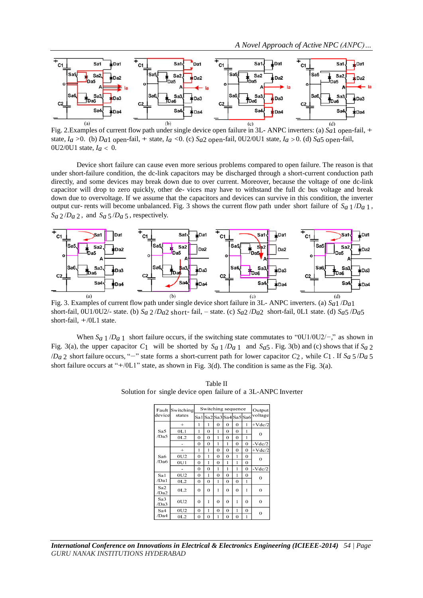

 Fig. 2.Examples of current flow path under single device open failure in 3L- ANPC inverters: (a) *Sa*1 open-fail, + state, *Ia >*0. (b) *Da*1 open-fail, + state, *Ia <*0. (c) *Sa*2 open-fail, 0U2/0U1 state, *Ia >*0. (d) *Sa*5 open-fail, 0U2/0U1 state, *Ia <* 0.

Device short failure can cause even more serious problems compared to open failure. The reason is that under short-failure condition, the dc-link capacitors may be discharged through a short-current conduction path directly, and some devices may break down due to over current. Moreover, because the voltage of one dc-link capacitor will drop to zero quickly, other de- vices may have to withstand the full dc bus voltage and break down due to overvoltage. If we assume that the capacitors and devices can survive in this condition, the inverter output cur- rents will become unbalanced. Fig. 3 shows the current flow path under short failure of *Sa* 1 /*Da* 1 ,  $S_a$  2/*D<sub>a</sub>* 2, and  $S_a$  5/*D<sub>a</sub>* 5, respectively.



Fig. 3. Examples of current flow path under single device short failure in 3L- ANPC inverters. (a) *Sa*1 /*Da*1 short-fail, 0U1/0U2/- state. (b) *Sa* 2 /*Da*2 short- fail, – state. (c) *Sa*2 /*Da*2 short-fail, 0L1 state. (d) *Sa*5 /*Da*5 short-fail,  $+/0L1$  state.

When *Sa* 1 /*Da* 1 short failure occurs, if the switching state commutates to "0U1/0U2/*−*," as shown in Fig. 3(a), the upper capacitor  $C_1$  will be shorted by  $S_a$  1  $/D_a$  1 and  $S_a$ 5. Fig. 3(b) and (c) shows that if  $S_a$  2 /*Da* 2 short failure occurs, "*−*" state forms a short-current path for lower capacitor *C*2 , while *C*1 . If *Sa* 5 /*Da* 5 short failure occurs at "+/0L1" state, as shown in Fig. 3(d). The condition is same as the Fig. 3(a).

Table II Solution for single device open failure of a 3L-ANPC Inverter

|             | <b>Fault Switching</b> | Switching sequence | Output       |                      |              |             |             |                |
|-------------|------------------------|--------------------|--------------|----------------------|--------------|-------------|-------------|----------------|
| device      | states                 | Sa 1               |              | lSa2lSa3lSa4lSa5lSa6 |              |             |             | voltage        |
|             | $+$                    | 1                  | 1            | $\bf{0}$             | 0            | $\mathbf 0$ | 1           | $+Vdc/2$       |
| Sa5         | 0L1                    | 1                  | $\Omega$     | 1                    | $\Omega$     | $\bf{0}$    | 1           | $\Omega$       |
| /Da5        | 0L2                    | $\Omega$           | $\mathbf{O}$ | 1                    | $\mathbf 0$  | $\mathbf 0$ | 1           |                |
|             |                        | $\Omega$           | $\Omega$     | 1                    | $\mathbf{1}$ | $\theta$    | $\Omega$    | $-Vdc/2$       |
| Sa6<br>/Da6 | $+$                    | 1                  | 1            | $\theta$             | $\Omega$     | $\mathbf 0$ | $\Omega$    | $+\nabla dc/2$ |
|             | 0U2                    | $\Omega$           | 1            | $\theta$             | $\Omega$     | 1           | $\Omega$    | 0              |
|             | 0U1                    | $\mathbf 0$        | 1            | $\bf{0}$             | 1            | 1           | $\mathbf 0$ |                |
|             |                        | 0                  | $\Omega$     | 1                    | 1            | 1           | $\Omega$    | $-Vdc/2$       |
| Sa1         | 0U2                    | $\overline{0}$     | 1            | $\bf{0}$             | $\bf{0}$     | 1           | $\mathbf 0$ | $\Omega$       |
| /Da1        | 0L2                    | $\Omega$           | $\mathbf 0$  | 1                    | $\mathbf 0$  | $\bf{0}$    | 1           |                |
| Sa2<br>/Da2 | 0L2                    | $\Omega$           | $\Omega$     | 1                    | 0            | $\mathbf 0$ | 1           | $\Omega$       |
| Sa3<br>/Da3 | 0U2                    | $\mathbf 0$        | 1            | $\bf{0}$             | $\mathbf 0$  | 1           | $\mathbf 0$ | $\mathbf 0$    |
| Sa4<br>/Da4 | 0U2                    | $\Omega$           | 1            | $\bf{0}$             | $\bf{0}$     | 1           | $\mathbf 0$ | $\Omega$       |
|             | OL <sub>2</sub>        | $\Omega$           | $\Omega$     | 1                    | 0            | $\mathbf 0$ | 1           |                |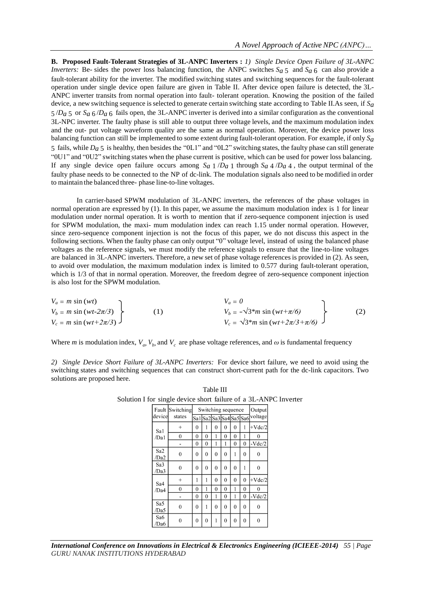**B. Proposed Fault-Tolerant Strategies of 3L-ANPC Inverters :** *1) Single Device Open Failure of 3L-ANPC Inverters:* Be- sides the power loss balancing function, the ANPC switches  $S_a$  5 and  $S_a$  6 can also provide a fault-tolerant ability for the inverter. The modified switching states and switching sequences for the fault-tolerant operation under single device open failure are given in Table II. After device open failure is detected, the 3L-ANPC inverter transits from normal operation into fault- tolerant operation. Knowing the position of the failed device, a new switching sequence isselected to generate certain switching state according to Table II.As seen, if *Sa* 5 /*Da* 5 or *Sa* 6 /*Da* 6 fails open, the 3L-ANPC inverter is derived into a similar configuration as the conventional 3L-NPC inverter. The faulty phase is still able to output three voltage levels, and the maximum modulation index and the out- put voltage waveform quality are the same as normal operation. Moreover, the device power loss balancing function can still be implemented to some extent during fault-tolerant operation. For example, if only *Sa* 5 fails, while *Da* 5 is healthy, then besides the "0L1" and "0L2" switching states, the faulty phase can still generate "0U1" and "0U2" switching states when the phase current is positive, which can be used for power loss balancing. If any single device open failure occurs among  $S_a$  1  $/D_a$  1 through  $S_a$  4  $/D_a$  4, the output terminal of the faulty phase needs to be connected to the NP of dc-link. The modulation signals also need to be modified in order to maintain the balanced three- phase line-to-line voltages.

In carrier-based SPWM modulation of 3L-ANPC inverters, the references of the phase voltages in normal operation are expressed by (1). In this paper, we assume the maximum modulation index is 1 for linear modulation under normal operation. It is worth to mention that if zero-sequence component injection is used for SPWM modulation, the maxi- mum modulation index can reach 1.15 under normal operation. However, since zero-sequence component injection is not the focus of this paper, we do not discuss this aspect in the following sections. When the faulty phase can only output "0" voltage level, instead of using the balanced phase voltages as the reference signals, we must modify the reference signals to ensure that the line-to-line voltages are balanced in 3L-ANPC inverters. Therefore, a new set of phase voltage references is provided in (2). As seen, to avoid over modulation, the maximum modulation index is limited to 0.577 during fault-tolerant operation, which is  $1/3$  of that in normal operation. Moreover, the freedom degree of zero-sequence component injection is also lost for the SPWM modulation.

| $V_a \equiv m \sin(wt)$                      |     | $V_a = 0$                                      |     |
|----------------------------------------------|-----|------------------------------------------------|-----|
| $V_b = m \sin(wt - 2\pi/3)$                  | (1) | $V_b = -\sqrt{3^m \sin{(wt + \pi/6)}}$         | (2) |
| $V_c$ = m sin (wt+2 $\pi$ /3) $\overline{J}$ |     | $V_c = \sqrt{3^m \sin{(wt + 2\pi/3 + \pi/6)}}$ |     |

Where *m* is modulation index,  $V_a$ ,  $V_b$ , and  $V_c$  are phase voltage references, and  $\omega$  is fundamental frequency

*2) Single Device Short Failure of 3L-ANPC Inverters:* For device short failure, we need to avoid using the switching states and switching sequences that can construct short-current path for the dc-link capacitors. Two solutions are proposed here.

| or single device short failure of a 3L-AN. |                           |                    |                         |          |                |          |              |              |  |
|--------------------------------------------|---------------------------|--------------------|-------------------------|----------|----------------|----------|--------------|--------------|--|
|                                            | Fault Switching<br>states | Switching sequence | Output                  |          |                |          |              |              |  |
| device                                     |                           |                    | Sa1 Sa2 Sa3 Sa4 Sa5 Sa6 |          |                |          |              | voltage      |  |
| Sa1                                        | $^{+}$                    | 0                  | 1                       | 0        | 0              | 0        | 1            | $+Vdc/2$     |  |
| /Da1                                       | $\mathbf{0}$              | 0                  | $\mathbf{0}$            | 1        | 0              | $\bf{0}$ | 1            | 0            |  |
|                                            |                           | $\theta$           | $\theta$                | 1        | 1              | $\theta$ | $\theta$     | $-Vdc/2$     |  |
| Sa <sub>2</sub><br>/Da2                    | 0                         | $\theta$           | $\theta$                | $\theta$ | $\theta$       | 1        | 0            | $\theta$     |  |
| Sa3<br>/Da3                                | $\mathbf{0}$              | 0                  | $\theta$                | $\theta$ | $\theta$       | $\theta$ | 1            | 0            |  |
| Sa4                                        | $^{+}$                    | 1                  | 1                       | 0        | $\theta$       | $\theta$ | 0            | $+Vdc/2$     |  |
| /Da4                                       | $\theta$                  | $\theta$           | 1                       | 0        | $\theta$       | 1        | 0            | 0            |  |
|                                            |                           | $\mathbf{0}$       | $\mathbf{0}$            | 1        | $\overline{0}$ |          | $\mathbf{0}$ | $-Vdc/2$     |  |
| Sa5<br>/Da5                                | 0                         | 0                  | 1                       | 0        | 0              | 0        | 0            | 0            |  |
| Sa6<br>/Da6                                | 0                         | $\theta$           | $\theta$                | 1        | $\theta$       | $\theta$ | $\theta$     | $\mathbf{0}$ |  |

Table III Solution I for single device short failure of a 3L-ANPC Inverter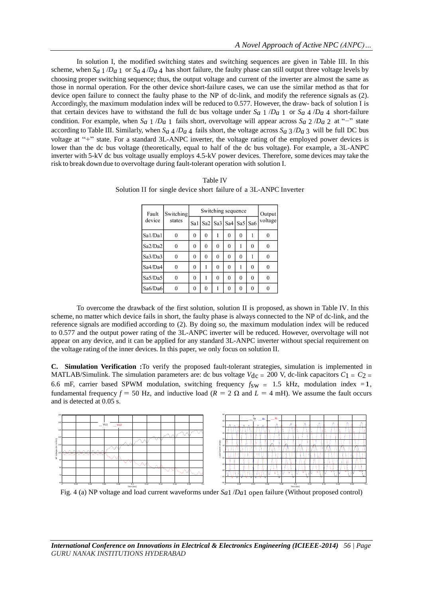In solution I, the modified switching states and switching sequences are given in Table III. In this scheme, when  $S_a$  1 /*D<sub>a</sub>* 1 or  $S_a$  4 /*D<sub>a</sub>* 4 has short failure, the faulty phase can still output three voltage levels by choosing proper switching sequence; thus, the output voltage and current of the inverter are almost the same as those in normal operation. For the other device short-failure cases, we can use the similar method as that for device open failure to connect the faulty phase to the NP of dc-link, and modify the reference signals as (2). Accordingly, the maximum modulation index will be reduced to 0.577. However, the draw- back of solution I is that certain devices have to withstand the full dc bus voltage under  $S_a$  1  $/D_a$  1 or  $S_a$  4  $/D_a$  4 short-failure condition. For example, when  $S_a$  1 /*D<sub>a</sub>* 1 fails short, overvoltage will appear across  $S_a$  2 /*D<sub>a</sub>* 2 at "−" state according to Table III. Similarly, when  $S_a$  4 /*D<sub>a</sub>* 4 fails short, the voltage across  $S_a$  3 /*D<sub>a</sub>* 3 will be full DC bus voltage at "+" state. For a standard 3L-ANPC inverter, the voltage rating of the employed power devices is lower than the dc bus voltage (theoretically, equal to half of the dc bus voltage). For example, a 3L-ANPC inverter with 5-kV dc bus voltage usually employs 4.5-kV power devices. Therefore, some devices may take the risk to break down due to overvoltage during fault-tolerant operation with solution I.

| <b>Table IV</b>                                                   |
|-------------------------------------------------------------------|
| Solution II for single device short failure of a 3L-ANPC Inverter |

| Fault<br>device | Switching<br>states |     | Output |          |                       |          |     |         |
|-----------------|---------------------|-----|--------|----------|-----------------------|----------|-----|---------|
|                 |                     | Sa1 |        |          | Sa2   Sa3   Sa4   Sa5 |          | Sa6 | voltage |
| Sa1/Da1         |                     | 0   | 0      |          | 0                     | $\theta$ |     | 0       |
| Sa2/Da2         |                     | 0   | 0      | 0        | 0                     |          | 0   |         |
| Sa3/Da3         | 0                   | 0   | 0      | 0        | $\mathbf 0$           | 0        |     | 0       |
| Sa4/Da4         |                     | 0   |        | $\Omega$ | 0                     |          | 0   |         |
| Sa5/Da5         |                     | Ω   |        | $\theta$ | 0                     | $\theta$ | 0   |         |
| Sa6/Da6         |                     | Ω   | Ω      |          | 0                     | 0        | 0   |         |

To overcome the drawback of the first solution, solution II is proposed, as shown in Table IV. In this scheme, no matter which device fails in short, the faulty phase is always connected to the NP of dc-link, and the reference signals are modified according to (2). By doing so, the maximum modulation index will be reduced to 0.577 and the output power rating of the 3L-ANPC inverter will be reduced. However, overvoltage will not appear on any device, and it can be applied for any standard 3L-ANPC inverter without special requirement on the voltage rating of the inner devices. In this paper, we only focus on solution II.

**C. Simulation Verification :**To verify the proposed fault-tolerant strategies, simulation is implemented in MATLAB/Simulink. The simulation parameters are: dc bus voltage  $V_{\text{dc}} = 200$  V, dc-link capacitors  $C_1 = C_2$ 6.6 mF, carrier based SPWM modulation, switching frequency  $f_{SW} = 1.5$  kHz, modulation index =1, fundamental frequency  $f = 50$  Hz, and inductive load ( $R = 2 \Omega$  and  $L = 4$  mH). We assume the fault occurs and is detected at 0.05 s.



Fig. 4 (a) NP voltage and load current waveforms under *Sa*1 /*Da*1 open failure (Without proposed control)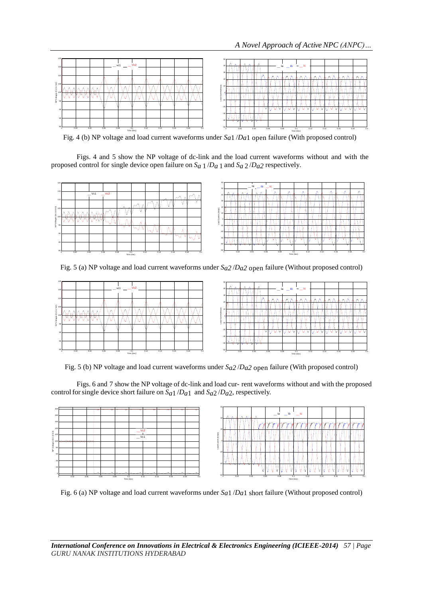

Fig. 4 (b) NP voltage and load current waveforms under *Sa*1 /*Da*1 open failure (With proposed control)

Figs. 4 and 5 show the NP voltage of dc-link and the load current waveforms without and with the proposed control for single device open failure on *Sa* 1 /*Da* 1 and *Sa* 2 /*Da2* respectively.



Fig. 5 (a) NP voltage and load current waveforms under *Sa2* /*Da2* open failure (Without proposed control)



Fig. 5 (b) NP voltage and load current waveforms under *Sa2* /*Da2* open failure (With proposed control)

Figs. 6 and 7 show the NP voltage of dc-link and load cur- rent waveforms without and with the proposed control for single device short failure on  $S_{a1}/D_{a1}$  and  $S_{a2}/D_{a2}$ , respectively.



Fig. 6 (a) NP voltage and load current waveforms under *Sa*1 /*Da*1 short failure (Without proposed control)

*International Conference on Innovations in Electrical & Electronics Engineering (ICIEEE-2014) 57 | Page GURU NANAK INSTITUTIONS HYDERABAD*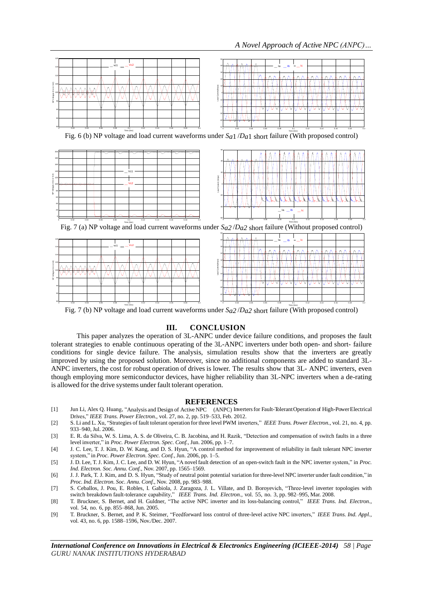

Fig. 7 (b) NP voltage and load current waveforms under *Sa2* /*Da2* short failure (With proposed control)

# **III. CONCLUSION**

This paper analyzes the operation of 3L-ANPC under device failure conditions, and proposes the fault tolerant strategies to enable continuous operating of the 3L-ANPC inverters under both open- and short- failure conditions for single device failure. The analysis, simulation results show that the inverters are greatly improved by using the proposed solution. Moreover, since no additional components are added to standard 3L-ANPC inverters, the cost for robust operation of drives is lower. The results show that 3L- ANPC inverters, even though employing more semiconductor devices, have higher reliability than 3L-NPC inverters when a de-rating is allowed for the drive systems under fault tolerant operation.

#### **REFERENCES**

- [1] Jun Li, Alex Q. Huang, "Analysis and Design of Active NPC (ANPC) Invertersfor Fault-TolerantOperation of High-PowerElectrical Drives," *IEEE Trans. Power Electron.*, vol. 27, no. 2, pp. 519–533, Feb. 2012.
- [2] S. Li and L. Xu, "Strategies of fault tolerant operation for three level PWM inverters," *IEEE Trans. Power Electron.*, vol. 21, no. 4, pp. 933–940, Jul. 2006.
- [3] E. R. da Silva, W. S. Lima, A. S. de Oliveira, C. B. Jacobina, and H. Razik, "Detection and compensation of switch faults in a three level inverter," in *Proc. Power Electron. Spec. Conf.*, Jun. 2006, pp. 1–7.
- [4] J. C. Lee, T. J. Kim, D. W. Kang, and D. S. Hyun, "A control method for improvement of reliability in fault tolerant NPC inverter system," in *Proc. Power Electron. Spec. Conf.*, Jun. 2006, pp. 1–5.
- [5] J. D. Lee, T. J. Kim, J. C. Lee, and D. W. Hyun, "A novel fault detection of an open-switch fault in the NPC inverter system," in *Proc. Ind. Electron. Soc. Annu. Conf.*, Nov. 2007, pp. 1565–1569.
- [6] J. J. Park, T. J. Kim, and D. S. Hyun, "Study of neutral point potential variation for three-level NPC inverter under fault condition," in *Proc. Ind. Electron. Soc. Annu. Conf.*, Nov. 2008, pp. 983–988.
- [7] S. Ceballos, J. Pou, E. Robles, I. Gabiola, J. Zaragoza, J. L. Villate, and D. Boroyevich, "Three-level inverter topologies with switch breakdown fault-tolerance capability," *IEEE Trans. Ind. Electron.*, vol. 55, no. 3, pp. 982–995, Mar. 2008.
- [8] T. Bruckner, S. Bernet, and H. Guldner, "The active NPC inverter and its loss-balancing control," *IEEE Trans. Ind. Electron.*, vol. 54, no. 6, pp. 855–868, Jun. 2005.
- [9] T. Bruckner, S. Bernet, and P. K. Steimer, "Feedforward loss control of three-level active NPC inverters," *IEEE Trans. Ind. Appl.*, vol. 43, no. 6, pp. 1588–1596, Nov./Dec. 2007.

*International Conference on Innovations in Electrical & Electronics Engineering (ICIEEE-2014) 58 | Page GURU NANAK INSTITUTIONS HYDERABAD*